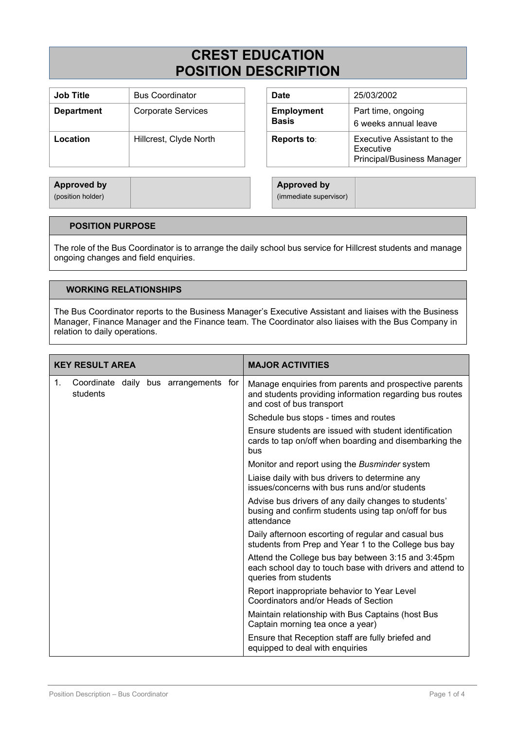# **CREST EDUCATION POSITION DESCRIPTION**

| <b>Job Title</b>  | <b>Bus Coordinator</b>    | <b>Date</b>                       | 25/03/2002                                                           |
|-------------------|---------------------------|-----------------------------------|----------------------------------------------------------------------|
| <b>Department</b> | <b>Corporate Services</b> | <b>Employment</b><br><b>Basis</b> | Part time, ongoing<br>6 weeks annual leave                           |
| Location          | Hillcrest, Clyde North    | <b>Reports to:</b>                | Executive Assistant to the<br>Executive<br>Principal/Business Manage |

| <b>Date</b>                       | 25/03/2002                                                                   |
|-----------------------------------|------------------------------------------------------------------------------|
| <b>Employment</b><br><b>Basis</b> | Part time, ongoing<br>6 weeks annual leave                                   |
| Reports to:                       | <b>Executive Assistant to the</b><br>Executive<br>Principal/Business Manager |

**Approved by** (position holder)

**Approved by** (immediate supervisor)

# **POSITION PURPOSE**

The role of the Bus Coordinator is to arrange the daily school bus service for Hillcrest students and manage ongoing changes and field enquiries.

# **WORKING RELATIONSHIPS**

The Bus Coordinator reports to the Business Manager's Executive Assistant and liaises with the Business Manager, Finance Manager and the Finance team. The Coordinator also liaises with the Bus Company in relation to daily operations.

| <b>KEY RESULT AREA</b> |          |  |  | <b>MAJOR ACTIVITIES</b>               |                                                                                                                                               |
|------------------------|----------|--|--|---------------------------------------|-----------------------------------------------------------------------------------------------------------------------------------------------|
| 1.                     | students |  |  | Coordinate daily bus arrangements for | Manage enquiries from parents and prospective parents<br>and students providing information regarding bus routes<br>and cost of bus transport |
|                        |          |  |  |                                       | Schedule bus stops - times and routes                                                                                                         |
|                        |          |  |  |                                       | Ensure students are issued with student identification<br>cards to tap on/off when boarding and disembarking the<br>bus                       |
|                        |          |  |  |                                       | Monitor and report using the Busminder system                                                                                                 |
|                        |          |  |  |                                       | Liaise daily with bus drivers to determine any<br>issues/concerns with bus runs and/or students                                               |
|                        |          |  |  |                                       | Advise bus drivers of any daily changes to students'<br>busing and confirm students using tap on/off for bus<br>attendance                    |
|                        |          |  |  |                                       | Daily afternoon escorting of regular and casual bus<br>students from Prep and Year 1 to the College bus bay                                   |
|                        |          |  |  |                                       | Attend the College bus bay between 3:15 and 3:45pm<br>each school day to touch base with drivers and attend to<br>queries from students       |
|                        |          |  |  |                                       | Report inappropriate behavior to Year Level<br>Coordinators and/or Heads of Section                                                           |
|                        |          |  |  |                                       | Maintain relationship with Bus Captains (host Bus<br>Captain morning tea once a year)                                                         |
|                        |          |  |  |                                       | Ensure that Reception staff are fully briefed and<br>equipped to deal with enquiries                                                          |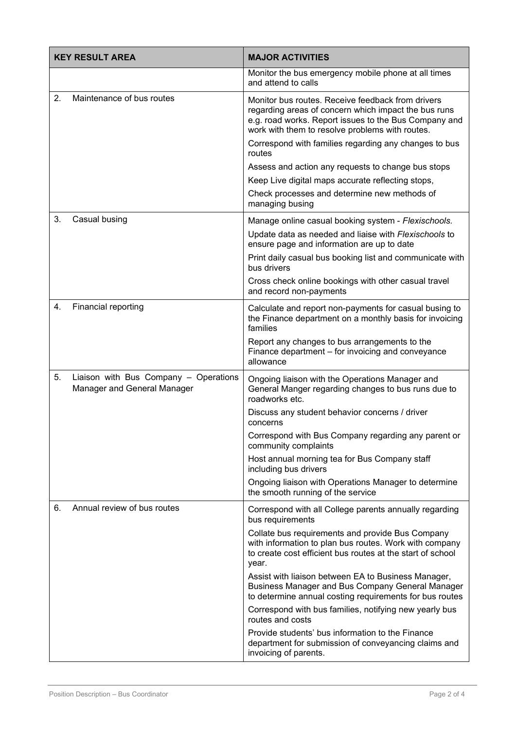|    | <b>KEY RESULT AREA</b>                                               | <b>MAJOR ACTIVITIES</b>                                                                                                                                                                                                                                                        |  |  |
|----|----------------------------------------------------------------------|--------------------------------------------------------------------------------------------------------------------------------------------------------------------------------------------------------------------------------------------------------------------------------|--|--|
|    |                                                                      | Monitor the bus emergency mobile phone at all times<br>and attend to calls                                                                                                                                                                                                     |  |  |
| 2. | Maintenance of bus routes                                            | Monitor bus routes. Receive feedback from drivers<br>regarding areas of concern which impact the bus runs<br>e.g. road works. Report issues to the Bus Company and<br>work with them to resolve problems with routes.<br>Correspond with families regarding any changes to bus |  |  |
|    |                                                                      | routes<br>Assess and action any requests to change bus stops                                                                                                                                                                                                                   |  |  |
|    |                                                                      | Keep Live digital maps accurate reflecting stops,                                                                                                                                                                                                                              |  |  |
|    |                                                                      | Check processes and determine new methods of<br>managing busing                                                                                                                                                                                                                |  |  |
| 3. | Casual busing                                                        | Manage online casual booking system - Flexischools.                                                                                                                                                                                                                            |  |  |
|    |                                                                      | Update data as needed and liaise with Flexischools to<br>ensure page and information are up to date                                                                                                                                                                            |  |  |
|    |                                                                      | Print daily casual bus booking list and communicate with<br>bus drivers                                                                                                                                                                                                        |  |  |
|    |                                                                      | Cross check online bookings with other casual travel<br>and record non-payments                                                                                                                                                                                                |  |  |
| 4. | Financial reporting                                                  | Calculate and report non-payments for casual busing to<br>the Finance department on a monthly basis for invoicing<br>families                                                                                                                                                  |  |  |
|    |                                                                      | Report any changes to bus arrangements to the<br>Finance department - for invoicing and conveyance<br>allowance                                                                                                                                                                |  |  |
| 5. | Liaison with Bus Company - Operations<br>Manager and General Manager | Ongoing liaison with the Operations Manager and<br>General Manger regarding changes to bus runs due to<br>roadworks etc.                                                                                                                                                       |  |  |
|    |                                                                      | Discuss any student behavior concerns / driver<br>concerns                                                                                                                                                                                                                     |  |  |
|    |                                                                      | Correspond with Bus Company regarding any parent or<br>community complaints                                                                                                                                                                                                    |  |  |
|    |                                                                      | Host annual morning tea for Bus Company staff<br>including bus drivers                                                                                                                                                                                                         |  |  |
|    |                                                                      | Ongoing liaison with Operations Manager to determine<br>the smooth running of the service                                                                                                                                                                                      |  |  |
| 6. | Annual review of bus routes                                          | Correspond with all College parents annually regarding<br>bus requirements                                                                                                                                                                                                     |  |  |
|    |                                                                      | Collate bus requirements and provide Bus Company<br>with information to plan bus routes. Work with company<br>to create cost efficient bus routes at the start of school<br>year.                                                                                              |  |  |
|    |                                                                      | Assist with liaison between EA to Business Manager,<br>Business Manager and Bus Company General Manager<br>to determine annual costing requirements for bus routes                                                                                                             |  |  |
|    |                                                                      | Correspond with bus families, notifying new yearly bus<br>routes and costs                                                                                                                                                                                                     |  |  |
|    |                                                                      | Provide students' bus information to the Finance<br>department for submission of conveyancing claims and<br>invoicing of parents.                                                                                                                                              |  |  |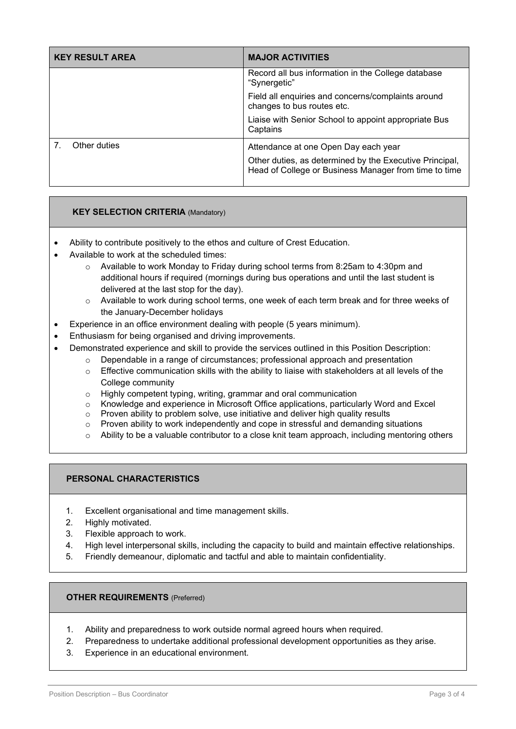| <b>KEY RESULT AREA</b> | <b>MAJOR ACTIVITIES</b>                                                                                                                                  |
|------------------------|----------------------------------------------------------------------------------------------------------------------------------------------------------|
|                        | Record all bus information in the College database<br>"Synergetic"                                                                                       |
|                        | Field all enquiries and concerns/complaints around<br>changes to bus routes etc.                                                                         |
|                        | Liaise with Senior School to appoint appropriate Bus<br>Captains                                                                                         |
| Other duties           | Attendance at one Open Day each year<br>Other duties, as determined by the Executive Principal,<br>Head of College or Business Manager from time to time |

### **KEY SELECTION CRITERIA** (Mandatory)

- Ability to contribute positively to the ethos and culture of Crest Education.
- Available to work at the scheduled times:
	- $\circ$  Available to work Monday to Friday during school terms from 8:25am to 4:30pm and additional hours if required (mornings during bus operations and until the last student is delivered at the last stop for the day).
	- o Available to work during school terms, one week of each term break and for three weeks of the January-December holidays
- Experience in an office environment dealing with people (5 years minimum).
- Enthusiasm for being organised and driving improvements.
- Demonstrated experience and skill to provide the services outlined in this Position Description:
	- $\circ$  Dependable in a range of circumstances; professional approach and presentation
		- $\circ$  Effective communication skills with the ability to liaise with stakeholders at all levels of the College community
		- o Highly competent typing, writing, grammar and oral communication<br>
		o Knowledge and experience in Microsoft Office applications, particula
		- $\circ$  Knowledge and experience in Microsoft Office applications, particularly Word and Excel<br> $\circ$  Proven ability to problem solve, use initiative and deliver high quality results
		- Proven ability to problem solve, use initiative and deliver high quality results
		- $\circ$  Proven ability to work independently and cope in stressful and demanding situations
		- $\circ$  Ability to be a valuable contributor to a close knit team approach, including mentoring others

#### **PERSONAL CHARACTERISTICS**

- 1. Excellent organisational and time management skills.
- 2. Highly motivated.
- 3. Flexible approach to work.
- 4. High level interpersonal skills, including the capacity to build and maintain effective relationships.
- 5. Friendly demeanour, diplomatic and tactful and able to maintain confidentiality.

#### **OTHER REQUIREMENTS** (Preferred)

- 1. Ability and preparedness to work outside normal agreed hours when required.
- 2. Preparedness to undertake additional professional development opportunities as they arise.
- 3. Experience in an educational environment.